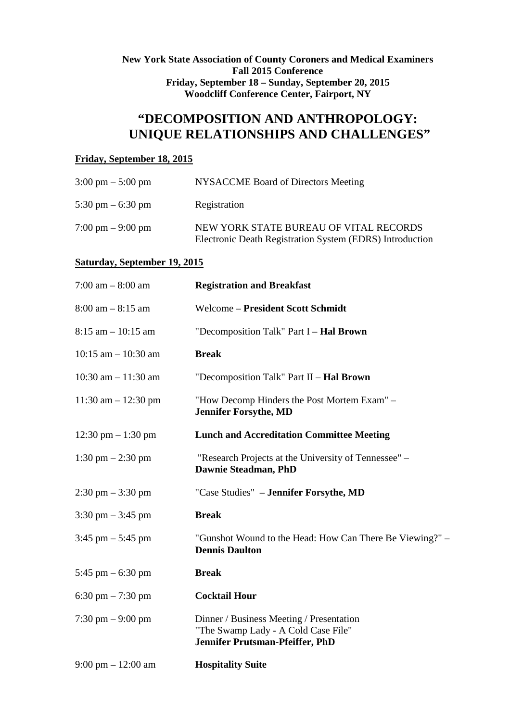**New York State Association of County Coroners and Medical Examiners Fall 2015 Conference Friday, September 18 – Sunday, September 20, 2015 Woodcliff Conference Center, Fairport, NY** 

# **"DECOMPOSITION AND ANTHROPOLOGY: UNIQUE RELATIONSHIPS AND CHALLENGES"**

### **Friday, September 18, 2015**

| $3:00 \text{ pm} - 5:00 \text{ pm}$ | NYSACCME Board of Directors Meeting                                                                |
|-------------------------------------|----------------------------------------------------------------------------------------------------|
| 5:30 pm $-$ 6:30 pm                 | Registration                                                                                       |
| $7:00 \text{ pm} - 9:00 \text{ pm}$ | NEW YORK STATE BUREAU OF VITAL RECORDS<br>Electronic Death Registration System (EDRS) Introduction |

#### **Saturday, September 19, 2015**

| $7:00$ am $-8:00$ am                 | <b>Registration and Breakfast</b>                                                                                  |
|--------------------------------------|--------------------------------------------------------------------------------------------------------------------|
| $8:00$ am $-8:15$ am                 | <b>Welcome - President Scott Schmidt</b>                                                                           |
| $8:15$ am $-10:15$ am                | "Decomposition Talk" Part I - Hal Brown                                                                            |
| $10:15$ am $- 10:30$ am              | <b>Break</b>                                                                                                       |
| $10:30$ am $- 11:30$ am              | "Decomposition Talk" Part II - Hal Brown                                                                           |
| $11:30$ am $- 12:30$ pm              | "How Decomp Hinders the Post Mortem Exam" -<br><b>Jennifer Forsythe, MD</b>                                        |
| $12:30 \text{ pm} - 1:30 \text{ pm}$ | <b>Lunch and Accreditation Committee Meeting</b>                                                                   |
| $1:30 \text{ pm} - 2:30 \text{ pm}$  | "Research Projects at the University of Tennessee" –<br>Dawnie Steadman, PhD                                       |
| $2:30 \text{ pm} - 3:30 \text{ pm}$  | "Case Studies" – Jennifer Forsythe, MD                                                                             |
| $3:30 \text{ pm} - 3:45 \text{ pm}$  | <b>Break</b>                                                                                                       |
| 3:45 pm $-$ 5:45 pm                  | "Gunshot Wound to the Head: How Can There Be Viewing?" –<br><b>Dennis Daulton</b>                                  |
| 5:45 pm $-$ 6:30 pm                  | <b>Break</b>                                                                                                       |
| 6:30 pm $-7:30$ pm                   | <b>Cocktail Hour</b>                                                                                               |
| $7:30 \text{ pm} - 9:00 \text{ pm}$  | Dinner / Business Meeting / Presentation<br>"The Swamp Lady - A Cold Case File"<br>Jennifer Prutsman-Pfeiffer, PhD |
| $9:00 \text{ pm} - 12:00 \text{ am}$ | <b>Hospitality Suite</b>                                                                                           |